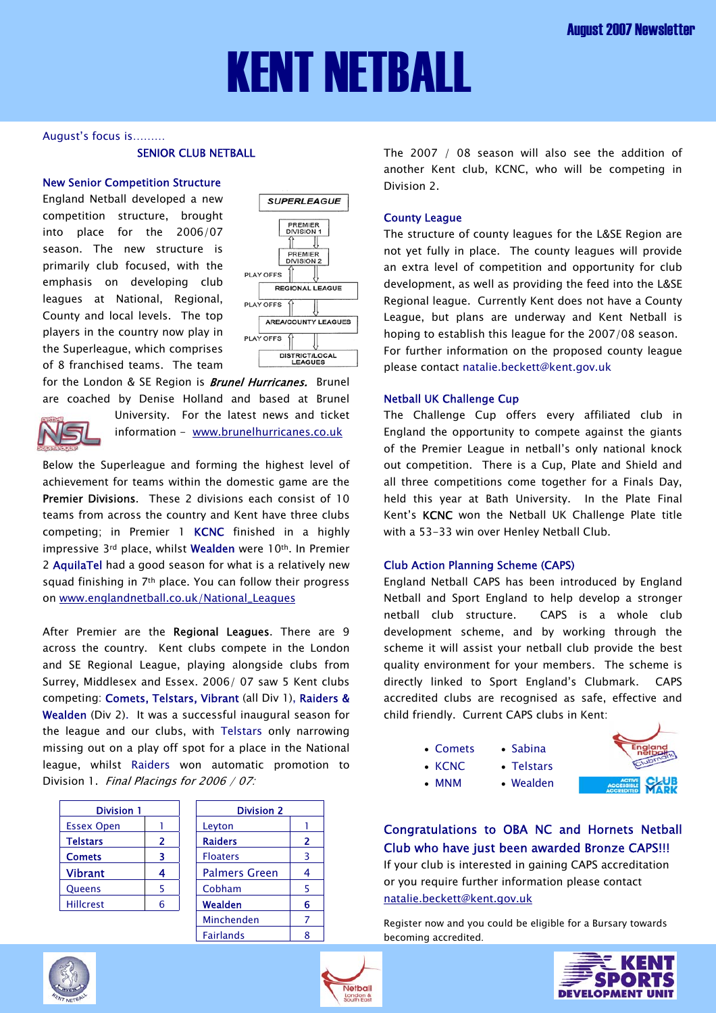# KENT NETBALL

### August's focus is………

# SENIOR CLUB NETBALL

### New Senior Competition Structure

England Netball developed a new competition structure, brought into place for the 2006/07 season. The new structure is primarily club focused, with the emphasis on developing club leagues at National, Regional, County and local levels. The top players in the country now play in the Superleague, which comprises of 8 franchised teams. The team



for the London & SE Region is **Brunel Hurricanes.** Brunel are coached by Denise Holland and based at Brunel



University. For the latest news and ticket information - [www.brunelhurricanes.co.uk](http://www.brunelhurricanes.co.uk/) 

Below the Superleague and forming the highest level of achievement for teams within the domestic game are the Premier Divisions. These 2 divisions each consist of 10 teams from across the country and Kent have three clubs competing; in Premier 1 KCNC finished in a highly impressive 3rd place, whilst Wealden were 10th. In Premier 2 AquilaTel had a good season for what is a relatively new squad finishing in 7th place. You can follow their progress on [www.englandnetball.co.uk/National\\_Leagues](http://www.englandnetball.co.uk/National_Leagues)

After Premier are the Regional Leagues. There are 9 across the country. Kent clubs compete in the London and SE Regional League, playing alongside clubs from Surrey, Middlesex and Essex. 2006/ 07 saw 5 Kent clubs competing: Comets, Telstars, Vibrant (all Div 1), Raiders & Wealden (Div 2). It was a successful inaugural season for the league and our clubs, with Telstars only narrowing missing out on a play off spot for a place in the National league, whilst Raiders won automatic promotion to Division 1. Final Placings for 2006 / 07:

| <b>Division 1</b> |   | <b>Division 2</b>    |   |  |
|-------------------|---|----------------------|---|--|
| <b>Essex Open</b> |   | Leyton               |   |  |
| <b>Telstars</b>   | 2 | <b>Raiders</b>       | 2 |  |
| <b>Comets</b>     | ٦ | <b>Floaters</b>      | 3 |  |
| <b>Vibrant</b>    | 4 | <b>Palmers Green</b> |   |  |
| Queens            |   | Cobham               | 5 |  |
| <b>Hillcrest</b>  | 6 | Wealden              | 6 |  |
|                   |   | Minchenden           |   |  |

| <b>Division 2</b> |   |  |  |
|-------------------|---|--|--|
| Leyton            |   |  |  |
| <b>Raiders</b>    | 2 |  |  |
| <b>Floaters</b>   | 3 |  |  |
| Palmers Green     | 4 |  |  |
| Cobham            | 5 |  |  |
| Wealden           | 6 |  |  |
| Minchenden        | 7 |  |  |
| Fairlands         |   |  |  |

The 2007 / 08 season will also see the addition of another Kent club, KCNC, who will be competing in Division 2.

## County League

The structure of county leagues for the L&SE Region are not yet fully in place. The county leagues will provide an extra level of competition and opportunity for club development, as well as providing the feed into the L&SE Regional league. Currently Kent does not have a County League, but plans are underway and Kent Netball is hoping to establish this league for the 2007/08 season. For further information on the proposed county league please contact natalie.beckett@kent.gov.uk

## Netball UK Challenge Cup

The Challenge Cup offers every affiliated club in England the opportunity to compete against the giants of the Premier League in netball's only national knock out competition. There is a Cup, Plate and Shield and all three competitions come together for a Finals Day, held this year at Bath University. In the Plate Final Kent's KCNC won the Netball UK Challenge Plate title with a 53-33 win over Henley Netball Club.

# Club Action Planning Scheme (CAPS)

England Netball CAPS has been introduced by England Netball and Sport England to help develop a stronger netball club structure. CAPS is a whole club development scheme, and by working through the scheme it will assist your netball club provide the best quality environment for your members. The scheme is directly linked to Sport England's Clubmark. CAPS accredited clubs are recognised as safe, effective and child friendly. Current CAPS clubs in Kent:

• Comets • Sabina

• KCNC • Telstars • MNM • Wealden

- 
- Congratulations to OBA NC and Hornets Netball Club who have just been awarded Bronze CAPS!!!

If your club is interested in gaining CAPS accreditation [or you require further inform](mailto:laura.wilson@surreycc.gov.uk)ation please contact natalie.beckett@kent.gov.uk

Register now and you could be eligible for a Bursary towards becoming accredited.